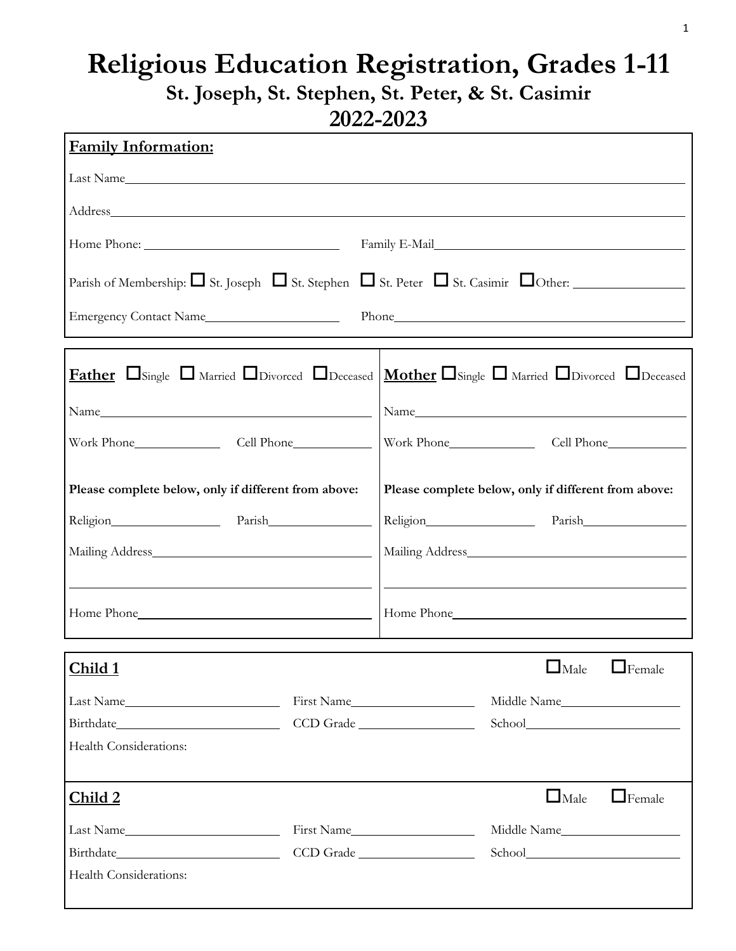## **Religious Education Registration, Grades 1-11 St. Joseph, St. Stephen, St. Peter, & St. Casimir 2022-2023**

| 2022-202J                                                                                                                                             |           |                       |                                                      |               |
|-------------------------------------------------------------------------------------------------------------------------------------------------------|-----------|-----------------------|------------------------------------------------------|---------------|
| <b>Family Information:</b>                                                                                                                            |           |                       |                                                      |               |
| Last Name                                                                                                                                             |           |                       |                                                      |               |
|                                                                                                                                                       |           |                       |                                                      |               |
|                                                                                                                                                       |           |                       |                                                      |               |
| Parish of Membership: $\Box$ St. Joseph $\Box$ St. Stephen $\Box$ St. Peter $\Box$ St. Casimir $\Box$ Other:                                          |           |                       |                                                      |               |
|                                                                                                                                                       |           |                       |                                                      |               |
| <b>Father</b> $\Box$ Single $\Box$ Married $\Box$ Divorced $\Box$ Deceased $\Box$ Mother $\Box$ Single $\Box$ Married $\Box$ Divorced $\Box$ Deceased |           |                       |                                                      |               |
|                                                                                                                                                       |           |                       |                                                      |               |
|                                                                                                                                                       |           | Work Phone Cell Phone |                                                      |               |
| Please complete below, only if different from above:                                                                                                  |           |                       | Please complete below, only if different from above: |               |
| Religion Parish                                                                                                                                       |           |                       | Religion Parish                                      |               |
| Mailing Address Manual Mailing Address                                                                                                                |           |                       |                                                      |               |
| Home Phone                                                                                                                                            |           |                       |                                                      |               |
| Child 1                                                                                                                                               |           |                       | $\Box$ Male                                          | $\Box$ Female |
| Last Name                                                                                                                                             |           | First Name            | Middle Name                                          |               |
|                                                                                                                                                       |           | CCD Grade             |                                                      |               |
| Health Considerations:                                                                                                                                |           |                       |                                                      |               |
| Child 2                                                                                                                                               |           |                       | $\Box$ Male                                          | $\Box$ Female |
| Last Name                                                                                                                                             |           | First Name            | Middle Name                                          |               |
|                                                                                                                                                       | CCD Grade |                       | School                                               |               |

Health Considerations: